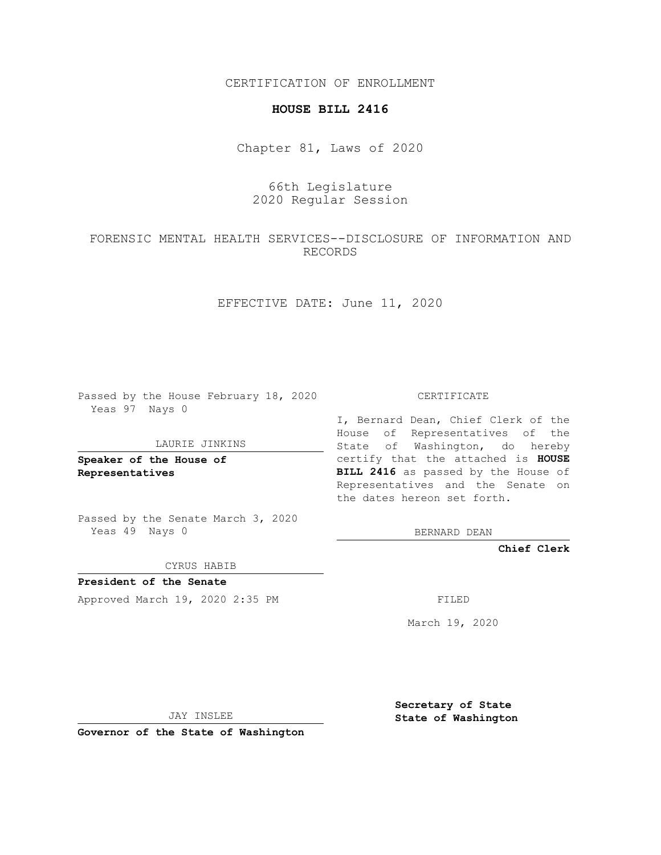CERTIFICATION OF ENROLLMENT

### **HOUSE BILL 2416**

Chapter 81, Laws of 2020

# 66th Legislature 2020 Regular Session

## FORENSIC MENTAL HEALTH SERVICES--DISCLOSURE OF INFORMATION AND RECORDS

EFFECTIVE DATE: June 11, 2020

Passed by the House February 18, 2020 Yeas 97 Nays 0

#### LAURIE JINKINS

**Speaker of the House of Representatives**

Passed by the Senate March 3, 2020 Yeas 49 Nays 0

CYRUS HABIB

**President of the Senate** Approved March 19, 2020 2:35 PM FILED

CERTIFICATE

I, Bernard Dean, Chief Clerk of the House of Representatives of the State of Washington, do hereby certify that the attached is **HOUSE BILL 2416** as passed by the House of Representatives and the Senate on the dates hereon set forth.

BERNARD DEAN

**Chief Clerk**

March 19, 2020

JAY INSLEE

**Governor of the State of Washington**

**Secretary of State State of Washington**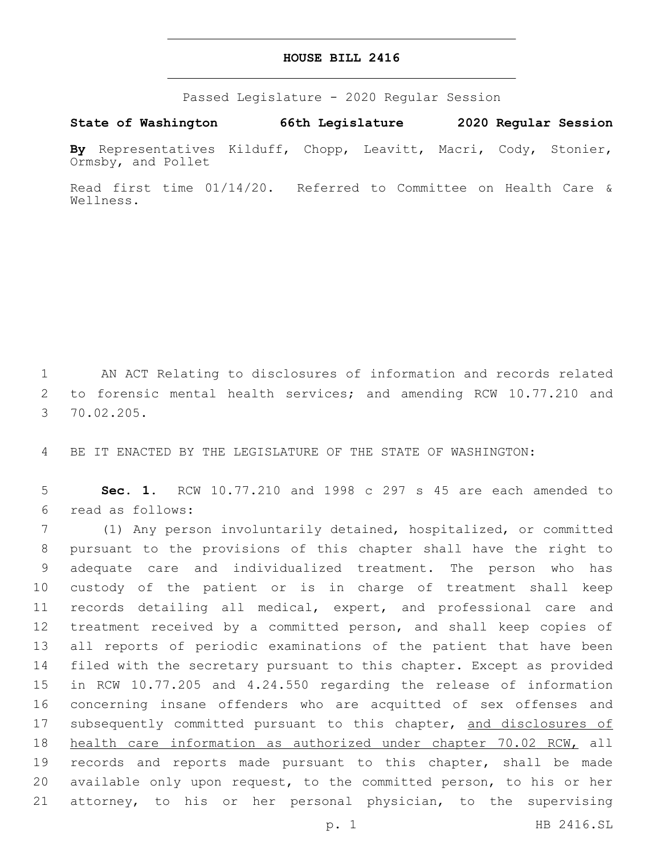## **HOUSE BILL 2416**

Passed Legislature - 2020 Regular Session

**State of Washington 66th Legislature 2020 Regular Session**

**By** Representatives Kilduff, Chopp, Leavitt, Macri, Cody, Stonier, Ormsby, and Pollet

Read first time 01/14/20. Referred to Committee on Health Care & Wellness.

1 AN ACT Relating to disclosures of information and records related 2 to forensic mental health services; and amending RCW 10.77.210 and 70.02.205.3

4 BE IT ENACTED BY THE LEGISLATURE OF THE STATE OF WASHINGTON:

5 **Sec. 1.** RCW 10.77.210 and 1998 c 297 s 45 are each amended to read as follows:6

 (1) Any person involuntarily detained, hospitalized, or committed pursuant to the provisions of this chapter shall have the right to adequate care and individualized treatment. The person who has custody of the patient or is in charge of treatment shall keep records detailing all medical, expert, and professional care and treatment received by a committed person, and shall keep copies of all reports of periodic examinations of the patient that have been filed with the secretary pursuant to this chapter. Except as provided in RCW 10.77.205 and 4.24.550 regarding the release of information concerning insane offenders who are acquitted of sex offenses and 17 subsequently committed pursuant to this chapter, and disclosures of 18 health care information as authorized under chapter 70.02 RCW, all 19 records and reports made pursuant to this chapter, shall be made available only upon request, to the committed person, to his or her attorney, to his or her personal physician, to the supervising

p. 1 HB 2416.SL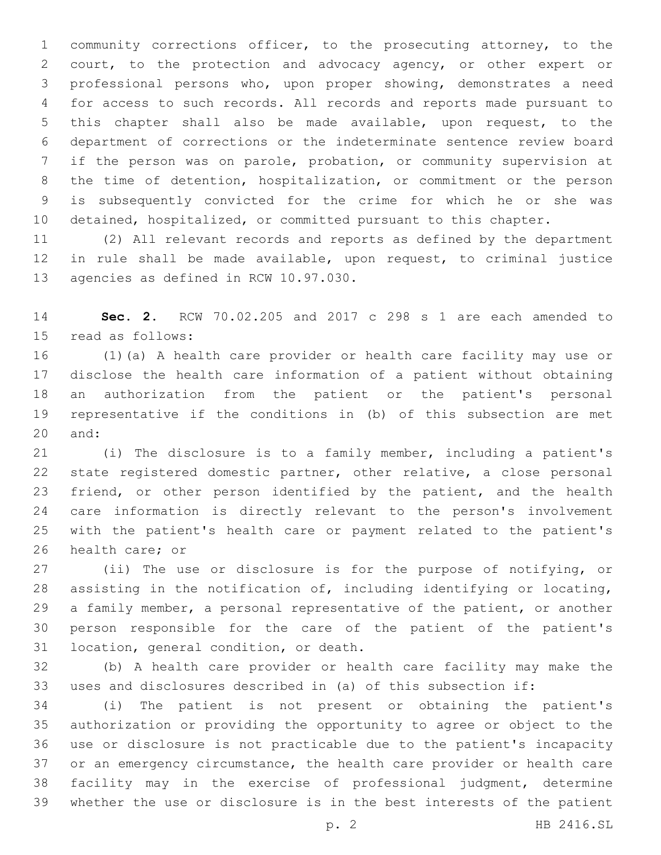community corrections officer, to the prosecuting attorney, to the court, to the protection and advocacy agency, or other expert or professional persons who, upon proper showing, demonstrates a need for access to such records. All records and reports made pursuant to this chapter shall also be made available, upon request, to the department of corrections or the indeterminate sentence review board if the person was on parole, probation, or community supervision at the time of detention, hospitalization, or commitment or the person is subsequently convicted for the crime for which he or she was detained, hospitalized, or committed pursuant to this chapter.

 (2) All relevant records and reports as defined by the department in rule shall be made available, upon request, to criminal justice 13 agencies as defined in RCW 10.97.030.

 **Sec. 2.** RCW 70.02.205 and 2017 c 298 s 1 are each amended to 15 read as follows:

 (1)(a) A health care provider or health care facility may use or disclose the health care information of a patient without obtaining an authorization from the patient or the patient's personal representative if the conditions in (b) of this subsection are met 20 and:

 (i) The disclosure is to a family member, including a patient's state registered domestic partner, other relative, a close personal 23 friend, or other person identified by the patient, and the health care information is directly relevant to the person's involvement with the patient's health care or payment related to the patient's 26 health care; or

 (ii) The use or disclosure is for the purpose of notifying, or assisting in the notification of, including identifying or locating, a family member, a personal representative of the patient, or another person responsible for the care of the patient of the patient's 31 location, general condition, or death.

 (b) A health care provider or health care facility may make the uses and disclosures described in (a) of this subsection if:

 (i) The patient is not present or obtaining the patient's authorization or providing the opportunity to agree or object to the use or disclosure is not practicable due to the patient's incapacity or an emergency circumstance, the health care provider or health care facility may in the exercise of professional judgment, determine whether the use or disclosure is in the best interests of the patient

p. 2 HB 2416.SL